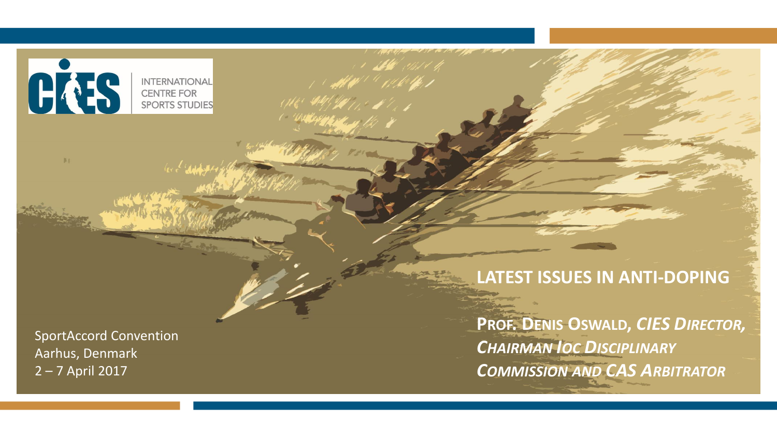

#### **LATEST ISSUES IN ANTI-DOPING**

's **sell** what the

TEMP<sup>UL U</sup>NICH.

**PROF. DENIS OSWALD,** *CIES DIRECTOR, CHAIRMAN IOC DISCIPLINARY COMMISSION AND CAS ARBITRATOR*

SportAccord Convention Aarhus, Denmark 2 – 7 April 2017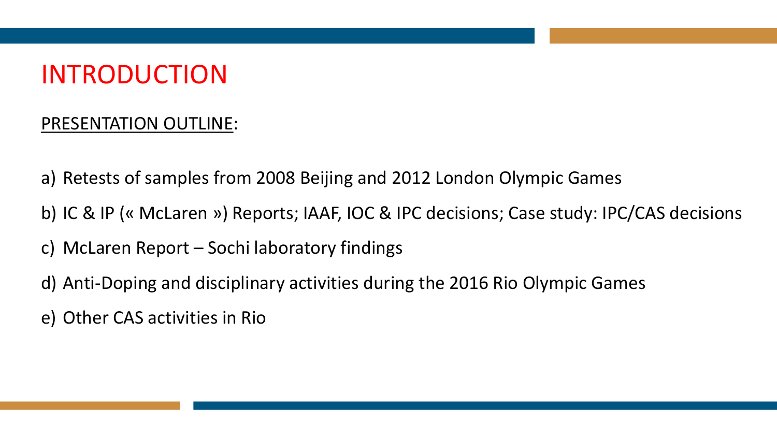#### INTRODUCTION

#### PRESENTATION OUTLINE:

- a) Retests of samples from 2008 Beijing and 2012 London Olympic Games
- b) IC & IP (« McLaren ») Reports; IAAF, IOC & IPC decisions; Case study: IPC/CAS decisions
- c) McLaren Report Sochi laboratory findings
- d) Anti-Doping and disciplinary activities during the 2016 Rio Olympic Games
- e) Other CAS activities in Rio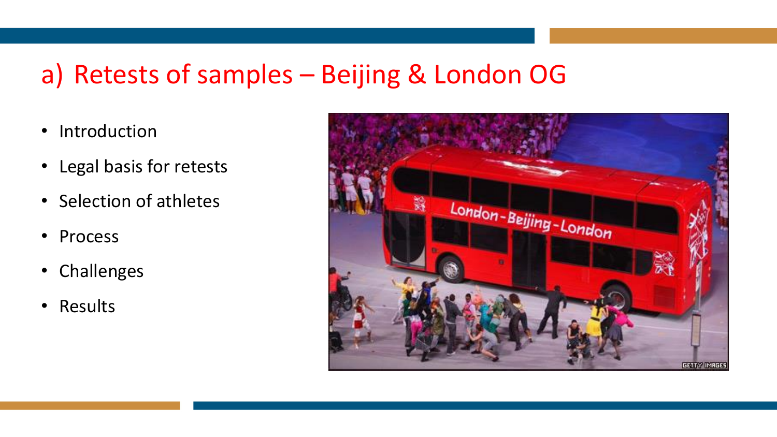## a) Retests of samples – Beijing & London OG

- Introduction
- Legal basis for retests
- Selection of athletes
- Process
- Challenges
- Results

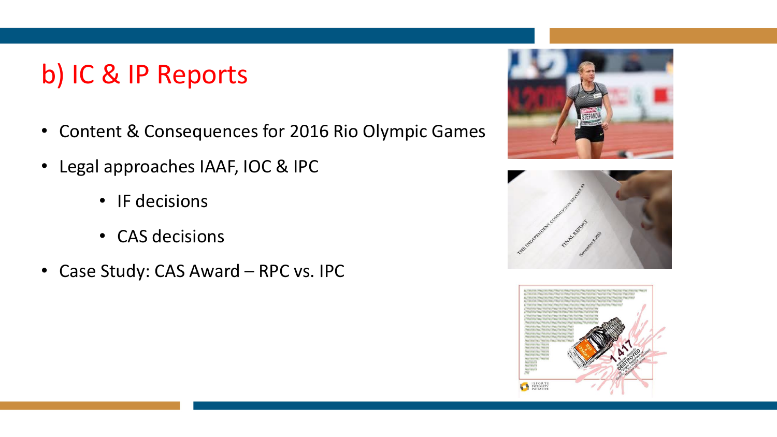## b) IC & IP Reports

- Content & Consequences for 2016 Rio Olympic Games
- Legal approaches IAAF, IOC & IPC
	- IF decisions
	- CAS decisions
- Case Study: CAS Award RPC vs. IPC





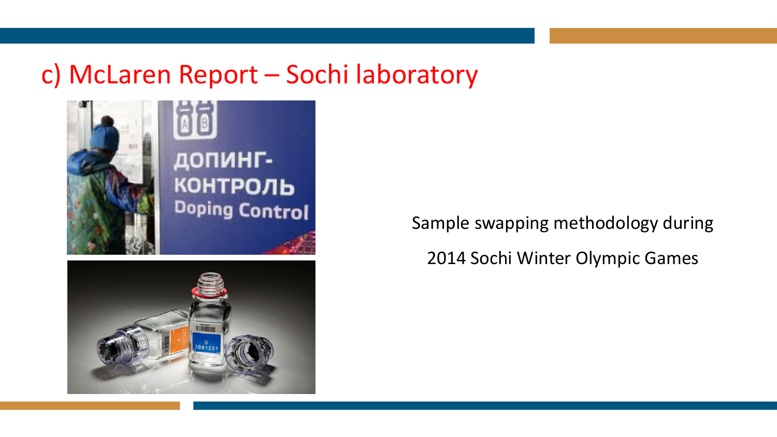#### c) McLaren Report – Sochi laboratory



Sample swapping methodology during 2014 Sochi Winter Olympic Games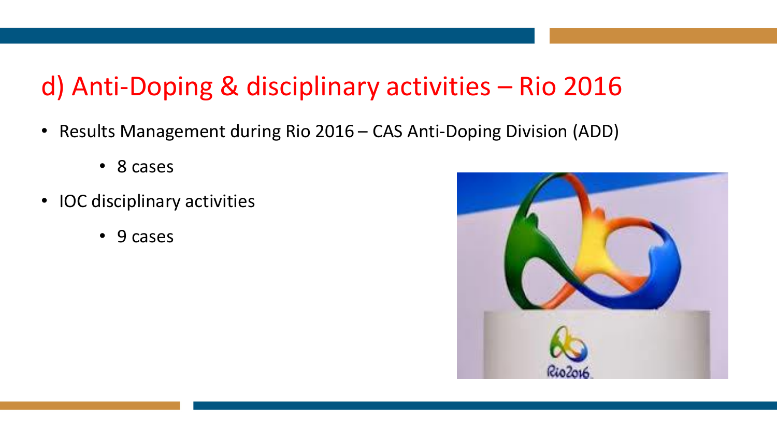# d) Anti-Doping & disciplinary activities – Rio 2016

- Results Management during Rio 2016 CAS Anti-Doping Division (ADD)
	- 8 cases
- IOC disciplinary activities
	- 9 cases

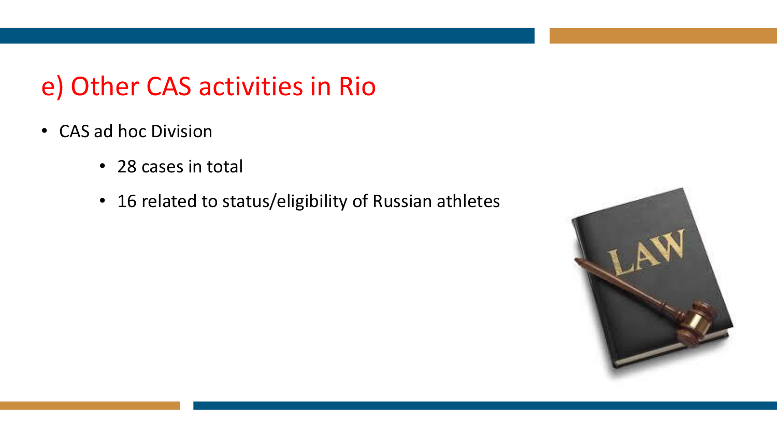#### e) Other CAS activities in Rio

- CAS ad hoc Division
	- 28 cases in total
	- 16 related to status/eligibility of Russian athletes

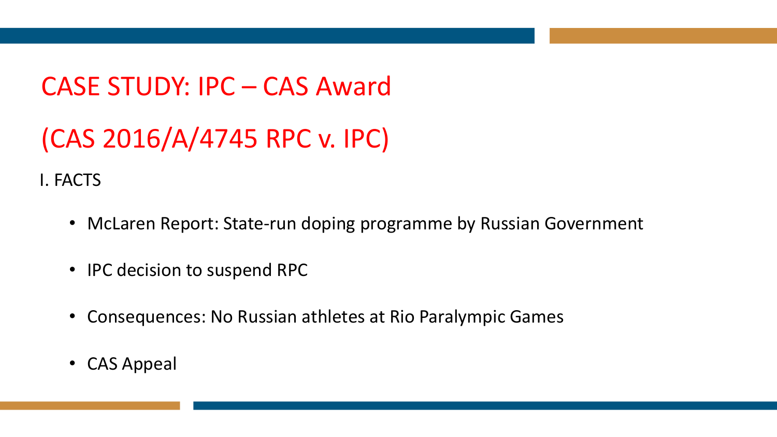# CASE STUDY: IPC – CAS Award (CAS 2016/A/4745 RPC v. IPC)

I. FACTS

- McLaren Report: State-run doping programme by Russian Government
- IPC decision to suspend RPC
- Consequences: No Russian athletes at Rio Paralympic Games
- CAS Appeal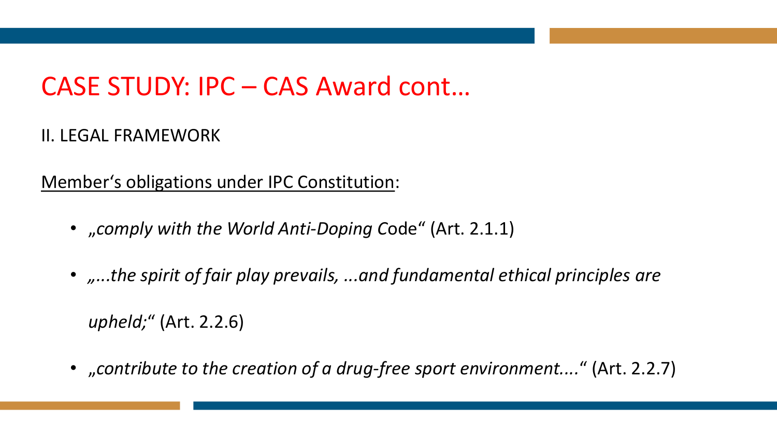## CASE STUDY: IPC – CAS Award cont…

#### II. LEGAL FRAMEWORK

Member's obligations under IPC Constitution:

- "*comply with the World Anti-Doping C*ode" (Art. 2.1.1)
- *....the spirit of fair play prevails, ...and fundamental ethical principles are*

*upheld;*" (Art. 2.2.6)

• "*contribute to the creation of a drug-free sport environment....*" (Art. 2.2.7)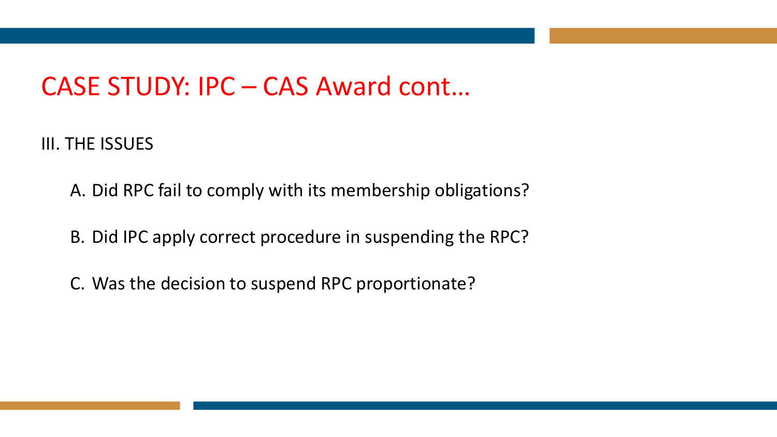#### CASE STUDY: IPC – CAS Award cont…

III. THE ISSUES

A. Did RPC fail to comply with its membership obligations?

B. Did IPC apply correct procedure in suspending the RPC?

C. Was the decision to suspend RPC proportionate?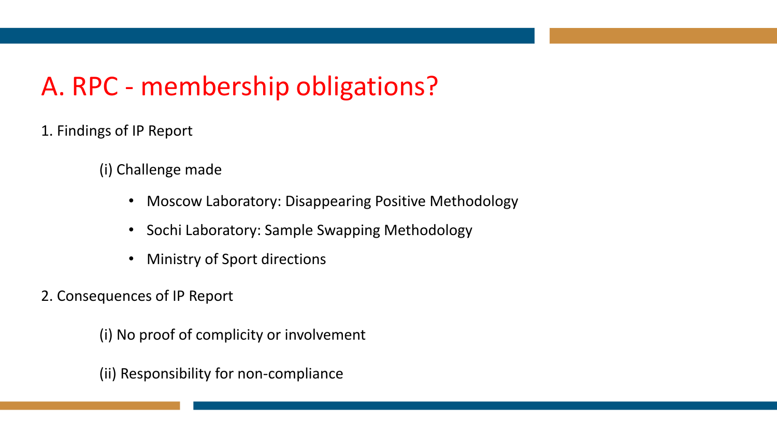# A. RPC - membership obligations?

- 1. Findings of IP Report
	- (i) Challenge made
		- Moscow Laboratory: Disappearing Positive Methodology
		- Sochi Laboratory: Sample Swapping Methodology
		- Ministry of Sport directions
- 2. Consequences of IP Report

(i) No proof of complicity or involvement

(ii) Responsibility for non-compliance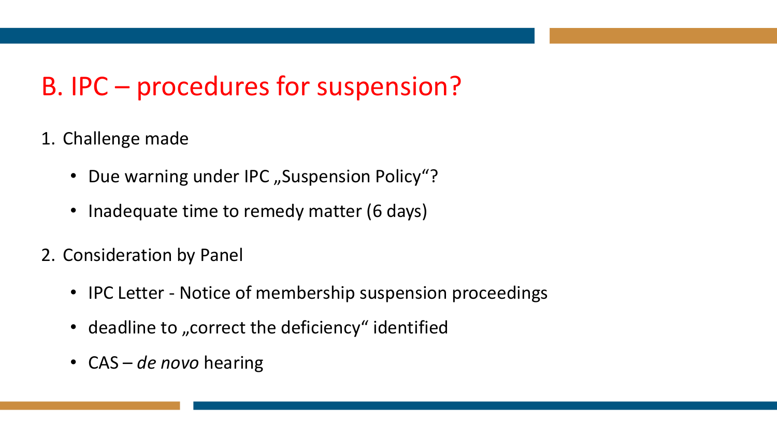# B. IPC – procedures for suspension?

- 1. Challenge made
	- Due warning under IPC "Suspension Policy"?
	- Inadequate time to remedy matter (6 days)
- 2. Consideration by Panel
	- IPC Letter Notice of membership suspension proceedings
	- deadline to "correct the deficiency" identified
	- CAS *de novo* hearing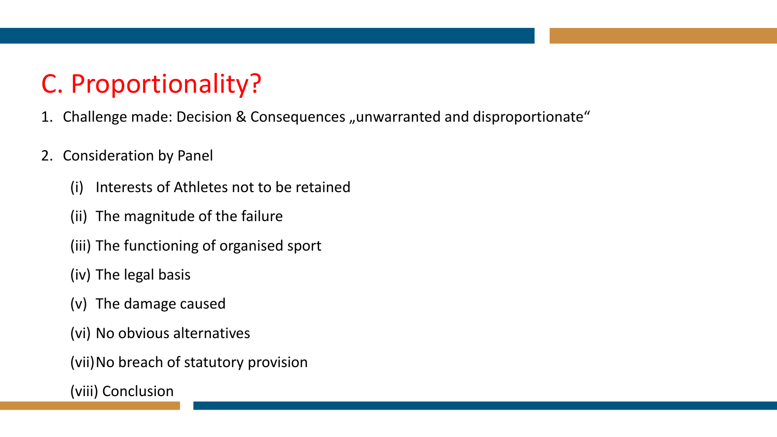# C. Proportionality?

- 1. Challenge made: Decision & Consequences "unwarranted and disproportionate"
- 2. Consideration by Panel
	- (i) Interests of Athletes not to be retained
	- (ii) The magnitude of the failure
	- (iii) The functioning of organised sport
	- (iv) The legal basis
	- (v) The damage caused
	- (vi) No obvious alternatives
	- (vii)No breach of statutory provision
	- (viii) Conclusion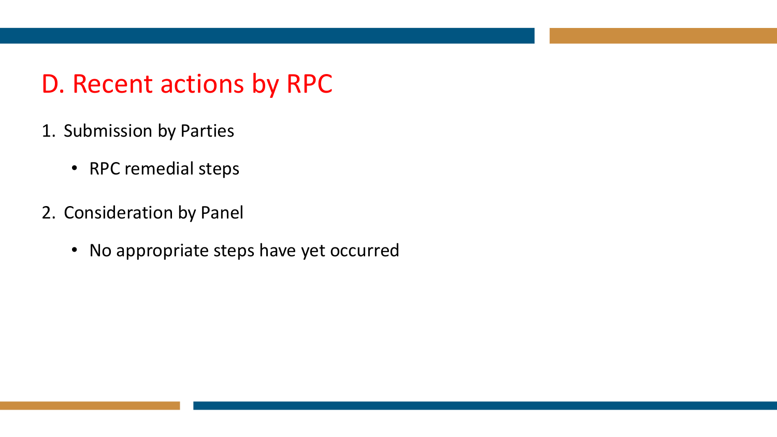#### D. Recent actions by RPC

- 1. Submission by Parties
	- RPC remedial steps
- 2. Consideration by Panel
	- No appropriate steps have yet occurred